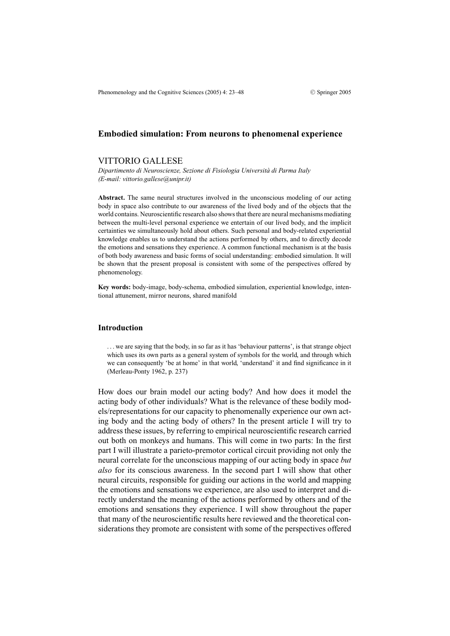## **Embodied simulation: From neurons to phenomenal experience**

# VITTORIO GALLESE

*Dipartimento di Neuroscienze, Sezione di Fisiologia Universit`a di Parma Italy (E-mail: vittorio.gallese@unipr.it)*

**Abstract.** The same neural structures involved in the unconscious modeling of our acting body in space also contribute to our awareness of the lived body and of the objects that the world contains. Neuroscientific research also shows that there are neural mechanisms mediating between the multi-level personal experience we entertain of our lived body, and the implicit certainties we simultaneously hold about others. Such personal and body-related experiential knowledge enables us to understand the actions performed by others, and to directly decode the emotions and sensations they experience. A common functional mechanism is at the basis of both body awareness and basic forms of social understanding: embodied simulation. It will be shown that the present proposal is consistent with some of the perspectives offered by phenomenology.

**Key words:** body-image, body-schema, embodied simulation, experiential knowledge, intentional attunement, mirror neurons, shared manifold

## **Introduction**

. . . we are saying that the body, in so far as it has 'behaviour patterns', is that strange object which uses its own parts as a general system of symbols for the world, and through which we can consequently 'be at home' in that world, 'understand' it and find significance in it (Merleau-Ponty 1962, p. 237)

How does our brain model our acting body? And how does it model the acting body of other individuals? What is the relevance of these bodily models/representations for our capacity to phenomenally experience our own acting body and the acting body of others? In the present article I will try to address these issues, by referring to empirical neuroscientific research carried out both on monkeys and humans. This will come in two parts: In the first part I will illustrate a parieto-premotor cortical circuit providing not only the neural correlate for the unconscious mapping of our acting body in space *but also* for its conscious awareness. In the second part I will show that other neural circuits, responsible for guiding our actions in the world and mapping the emotions and sensations we experience, are also used to interpret and directly understand the meaning of the actions performed by others and of the emotions and sensations they experience. I will show throughout the paper that many of the neuroscientific results here reviewed and the theoretical considerations they promote are consistent with some of the perspectives offered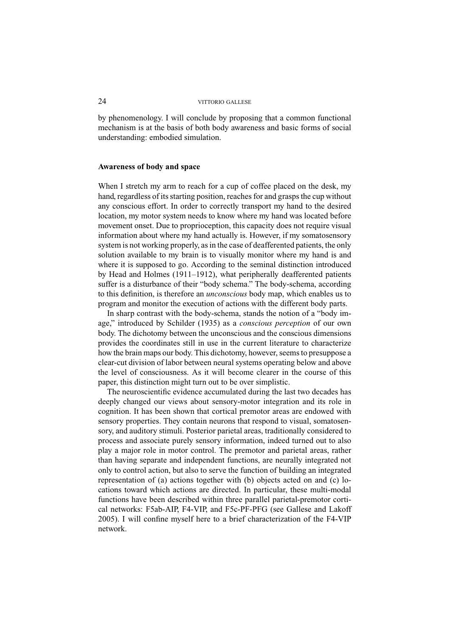by phenomenology. I will conclude by proposing that a common functional mechanism is at the basis of both body awareness and basic forms of social understanding: embodied simulation.

#### **Awareness of body and space**

When I stretch my arm to reach for a cup of coffee placed on the desk, my hand, regardless of its starting position, reaches for and grasps the cup without any conscious effort. In order to correctly transport my hand to the desired location, my motor system needs to know where my hand was located before movement onset. Due to proprioception, this capacity does not require visual information about where my hand actually is. However, if my somatosensory system is not working properly, as in the case of deafferented patients, the only solution available to my brain is to visually monitor where my hand is and where it is supposed to go. According to the seminal distinction introduced by Head and Holmes (1911–1912), what peripherally deafferented patients suffer is a disturbance of their "body schema." The body-schema, according to this definition, is therefore an *unconscious* body map, which enables us to program and monitor the execution of actions with the different body parts.

In sharp contrast with the body-schema, stands the notion of a "body image," introduced by Schilder (1935) as a *conscious perception* of our own body. The dichotomy between the unconscious and the conscious dimensions provides the coordinates still in use in the current literature to characterize how the brain maps our body. This dichotomy, however, seems to presuppose a clear-cut division of labor between neural systems operating below and above the level of consciousness. As it will become clearer in the course of this paper, this distinction might turn out to be over simplistic.

The neuroscientific evidence accumulated during the last two decades has deeply changed our views about sensory-motor integration and its role in cognition. It has been shown that cortical premotor areas are endowed with sensory properties. They contain neurons that respond to visual, somatosensory, and auditory stimuli. Posterior parietal areas, traditionally considered to process and associate purely sensory information, indeed turned out to also play a major role in motor control. The premotor and parietal areas, rather than having separate and independent functions, are neurally integrated not only to control action, but also to serve the function of building an integrated representation of (a) actions together with (b) objects acted on and (c) locations toward which actions are directed. In particular, these multi-modal functions have been described within three parallel parietal-premotor cortical networks: F5ab-AIP, F4-VIP, and F5c-PF-PFG (see Gallese and Lakoff 2005). I will confine myself here to a brief characterization of the F4-VIP network.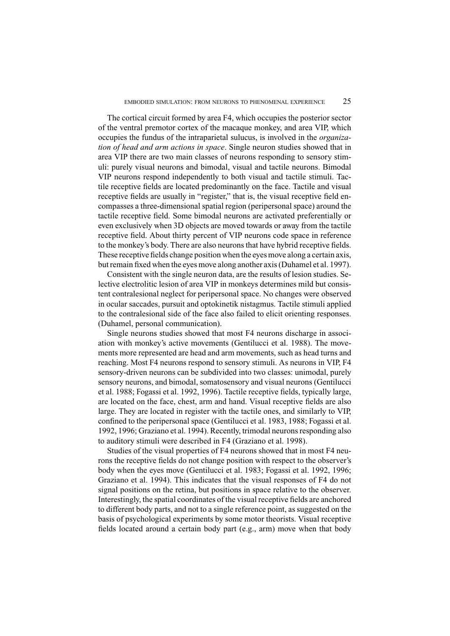The cortical circuit formed by area F4, which occupies the posterior sector of the ventral premotor cortex of the macaque monkey, and area VIP, which occupies the fundus of the intraparietal sulucus, is involved in the *organization of head and arm actions in space*. Single neuron studies showed that in area VIP there are two main classes of neurons responding to sensory stimuli: purely visual neurons and bimodal, visual and tactile neurons. Bimodal VIP neurons respond independently to both visual and tactile stimuli. Tactile receptive fields are located predominantly on the face. Tactile and visual receptive fields are usually in "register," that is, the visual receptive field encompasses a three-dimensional spatial region (peripersonal space) around the tactile receptive field. Some bimodal neurons are activated preferentially or even exclusively when 3D objects are moved towards or away from the tactile receptive field. About thirty percent of VIP neurons code space in reference to the monkey's body. There are also neurons that have hybrid receptive fields. These receptive fields change position when the eyes move along a certain axis, but remain fixed when the eyes move along another axis (Duhamel et al. 1997).

Consistent with the single neuron data, are the results of lesion studies. Selective electrolitic lesion of area VIP in monkeys determines mild but consistent contralesional neglect for peripersonal space. No changes were observed in ocular saccades, pursuit and optokinetik nistagmus. Tactile stimuli applied to the contralesional side of the face also failed to elicit orienting responses. (Duhamel, personal communication).

Single neurons studies showed that most F4 neurons discharge in association with monkey's active movements (Gentilucci et al. 1988). The movements more represented are head and arm movements, such as head turns and reaching. Most F4 neurons respond to sensory stimuli. As neurons in VIP, F4 sensory-driven neurons can be subdivided into two classes: unimodal, purely sensory neurons, and bimodal, somatosensory and visual neurons (Gentilucci et al. 1988; Fogassi et al. 1992, 1996). Tactile receptive fields, typically large, are located on the face, chest, arm and hand. Visual receptive fields are also large. They are located in register with the tactile ones, and similarly to VIP, confined to the peripersonal space (Gentilucci et al. 1983, 1988; Fogassi et al. 1992, 1996; Graziano et al. 1994). Recently, trimodal neurons responding also to auditory stimuli were described in F4 (Graziano et al. 1998).

Studies of the visual properties of F4 neurons showed that in most F4 neurons the receptive fields do not change position with respect to the observer's body when the eyes move (Gentilucci et al. 1983; Fogassi et al. 1992, 1996; Graziano et al. 1994). This indicates that the visual responses of F4 do not signal positions on the retina, but positions in space relative to the observer. Interestingly, the spatial coordinates of the visual receptive fields are anchored to different body parts, and not to a single reference point, as suggested on the basis of psychological experiments by some motor theorists. Visual receptive fields located around a certain body part (e.g., arm) move when that body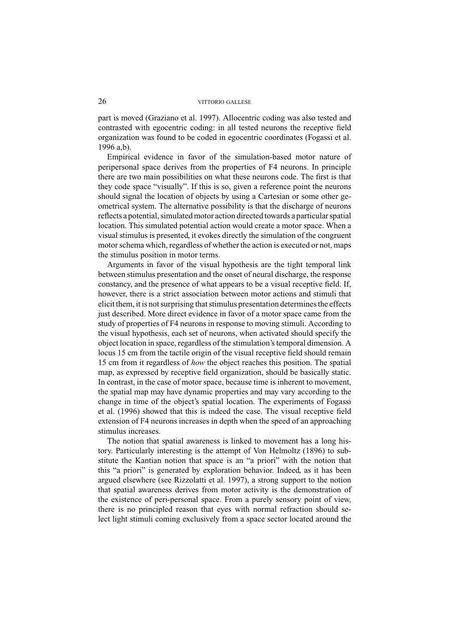part is moved (Graziano et al. 1997). Allocentric coding was also tested and contrasted with egocentric coding: in all tested neurons the receptive field organization was found to be coded in egocentric coordinates (Fogassi et al. 1996 a,b).

Empirical evidence in favor of the simulation-based motor nature of peripersonal space derives from the properties of F4 neurons. In principle there are two main possibilities on what these neurons code. The first is that they code space "visually". If this is so, given a reference point the neurons should signal the location of objects by using a Cartesian or some other geometrical system. The alternative possibility is that the discharge of neurons reflects a potential, simulated motor action directed towards a particular spatial location. This simulated potential action would create a motor space. When a visual stimulus is presented, it evokes directly the simulation of the congruent motor schema which, regardless of whether the action is executed or not, maps the stimulus position in motor terms.

Arguments in favor of the visual hypothesis are the tight temporal link between stimulus presentation and the onset of neural discharge, the response constancy, and the presence of what appears to be a visual receptive field. If, however, there is a strict association between motor actions and stimuli that elicit them, it is not surprising that stimulus presentation determines the effects just described. More direct evidence in favor of a motor space came from the study of properties of F4 neurons in response to moving stimuli. According to the visual hypothesis, each set of neurons, when activated should specify the object location in space, regardless of the stimulation's temporal dimension. A locus 15 cm from the tactile origin of the visual receptive field should remain 15 cm from it regardless of *how* the object reaches this position. The spatial map, as expressed by receptive field organization, should be basically static. In contrast, in the case of motor space, because time is inherent to movement, the spatial map may have dynamic properties and may vary according to the change in time of the object's spatial location. The experiments of Fogassi et al. (1996) showed that this is indeed the case. The visual receptive field extension of F4 neurons increases in depth when the speed of an approaching stimulus increases.

The notion that spatial awareness is linked to movement has a long history. Particularly interesting is the attempt of Von Helmoltz (1896) to substitute the Kantian notion that space is an "a priori" with the notion that this "a priori" is generated by exploration behavior. Indeed, as it has been argued elsewhere (see Rizzolatti et al. 1997), a strong support to the notion that spatial awareness derives from motor activity is the demonstration of the existence of peri-personal space. From a purely sensory point of view, there is no principled reason that eyes with normal refraction should select light stimuli coming exclusively from a space sector located around the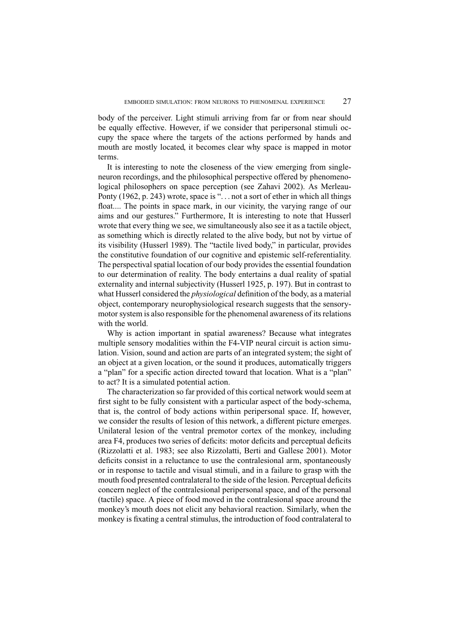body of the perceiver. Light stimuli arriving from far or from near should be equally effective. However, if we consider that peripersonal stimuli occupy the space where the targets of the actions performed by hands and mouth are mostly located, it becomes clear why space is mapped in motor terms.

It is interesting to note the closeness of the view emerging from singleneuron recordings, and the philosophical perspective offered by phenomenological philosophers on space perception (see Zahavi 2002). As Merleau-Ponty (1962, p. 243) wrote, space is "... not a sort of ether in which all things float.... The points in space mark, in our vicinity, the varying range of our aims and our gestures." Furthermore, It is interesting to note that Husserl wrote that every thing we see, we simultaneously also see it as a tactile object, as something which is directly related to the alive body, but not by virtue of its visibility (Husserl 1989). The "tactile lived body," in particular, provides the constitutive foundation of our cognitive and epistemic self-referentiality. The perspectival spatial location of our body provides the essential foundation to our determination of reality. The body entertains a dual reality of spatial externality and internal subjectivity (Husserl 1925, p. 197). But in contrast to what Husserl considered the *physiological* definition of the body, as a material object, contemporary neurophysiological research suggests that the sensorymotor system is also responsible for the phenomenal awareness of its relations with the world.

Why is action important in spatial awareness? Because what integrates multiple sensory modalities within the F4-VIP neural circuit is action simulation. Vision, sound and action are parts of an integrated system; the sight of an object at a given location, or the sound it produces, automatically triggers a "plan" for a specific action directed toward that location. What is a "plan" to act? It is a simulated potential action.

The characterization so far provided of this cortical network would seem at first sight to be fully consistent with a particular aspect of the body-schema, that is, the control of body actions within peripersonal space. If, however, we consider the results of lesion of this network, a different picture emerges. Unilateral lesion of the ventral premotor cortex of the monkey, including area F4, produces two series of deficits: motor deficits and perceptual deficits (Rizzolatti et al. 1983; see also Rizzolatti, Berti and Gallese 2001). Motor deficits consist in a reluctance to use the contralesional arm, spontaneously or in response to tactile and visual stimuli, and in a failure to grasp with the mouth food presented contralateral to the side of the lesion. Perceptual deficits concern neglect of the contralesional peripersonal space, and of the personal (tactile) space. A piece of food moved in the contralesional space around the monkey's mouth does not elicit any behavioral reaction. Similarly, when the monkey is fixating a central stimulus, the introduction of food contralateral to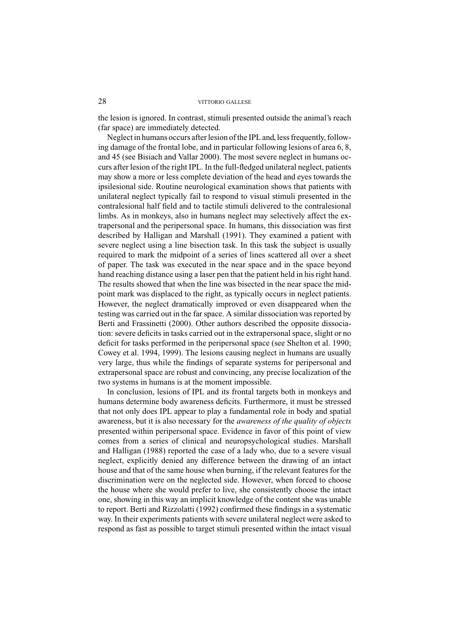the lesion is ignored. In contrast, stimuli presented outside the animal's reach (far space) are immediately detected.

Neglect in humans occurs after lesion of the IPL and, less frequently, following damage of the frontal lobe, and in particular following lesions of area 6, 8, and 45 (see Bisiach and Vallar 2000). The most severe neglect in humans occurs after lesion of the right IPL. In the full-fledged unilateral neglect, patients may show a more or less complete deviation of the head and eyes towards the ipsilesional side. Routine neurological examination shows that patients with unilateral neglect typically fail to respond to visual stimuli presented in the contralesional half field and to tactile stimuli delivered to the contralesional limbs. As in monkeys, also in humans neglect may selectively affect the extrapersonal and the peripersonal space. In humans, this dissociation was first described by Halligan and Marshall (1991). They examined a patient with severe neglect using a line bisection task. In this task the subject is usually required to mark the midpoint of a series of lines scattered all over a sheet of paper. The task was executed in the near space and in the space beyond hand reaching distance using a laser pen that the patient held in his right hand. The results showed that when the line was bisected in the near space the midpoint mark was displaced to the right, as typically occurs in neglect patients. However, the neglect dramatically improved or even disappeared when the testing was carried out in the far space. A similar dissociation was reported by Berti and Frassinetti (2000). Other authors described the opposite dissociation: severe deficits in tasks carried out in the extrapersonal space, slight or no deficit for tasks performed in the peripersonal space (see Shelton et al. 1990; Cowey et al. 1994, 1999). The lesions causing neglect in humans are usually very large, thus while the findings of separate systems for peripersonal and extrapersonal space are robust and convincing, any precise localization of the two systems in humans is at the moment impossible.

In conclusion, lesions of IPL and its frontal targets both in monkeys and humans determine body awareness deficits. Furthermore, it must be stressed that not only does IPL appear to play a fundamental role in body and spatial awareness, but it is also necessary for the *awareness of the quality of objects* presented within peripersonal space. Evidence in favor of this point of view comes from a series of clinical and neuropsychological studies. Marshall and Halligan (1988) reported the case of a lady who, due to a severe visual neglect, explicitly denied any difference between the drawing of an intact house and that of the same house when burning, if the relevant features for the discrimination were on the neglected side. However, when forced to choose the house where she would prefer to live, she consistently choose the intact one, showing in this way an implicit knowledge of the content she was unable to report. Berti and Rizzolatti (1992) confirmed these findings in a systematic way. In their experiments patients with severe unilateral neglect were asked to respond as fast as possible to target stimuli presented within the intact visual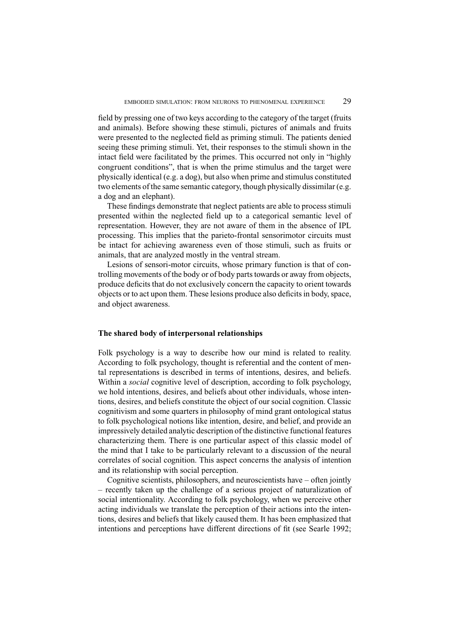field by pressing one of two keys according to the category of the target (fruits and animals). Before showing these stimuli, pictures of animals and fruits were presented to the neglected field as priming stimuli. The patients denied seeing these priming stimuli. Yet, their responses to the stimuli shown in the intact field were facilitated by the primes. This occurred not only in "highly congruent conditions", that is when the prime stimulus and the target were physically identical (e.g. a dog), but also when prime and stimulus constituted two elements of the same semantic category, though physically dissimilar (e.g. a dog and an elephant).

These findings demonstrate that neglect patients are able to process stimuli presented within the neglected field up to a categorical semantic level of representation. However, they are not aware of them in the absence of IPL processing. This implies that the parieto-frontal sensorimotor circuits must be intact for achieving awareness even of those stimuli, such as fruits or animals, that are analyzed mostly in the ventral stream.

Lesions of sensori-motor circuits, whose primary function is that of controlling movements of the body or of body parts towards or away from objects, produce deficits that do not exclusively concern the capacity to orient towards objects or to act upon them. These lesions produce also deficits in body, space, and object awareness.

## **The shared body of interpersonal relationships**

Folk psychology is a way to describe how our mind is related to reality. According to folk psychology, thought is referential and the content of mental representations is described in terms of intentions, desires, and beliefs. Within a *social* cognitive level of description, according to folk psychology, we hold intentions, desires, and beliefs about other individuals, whose intentions, desires, and beliefs constitute the object of our social cognition. Classic cognitivism and some quarters in philosophy of mind grant ontological status to folk psychological notions like intention, desire, and belief, and provide an impressively detailed analytic description of the distinctive functional features characterizing them. There is one particular aspect of this classic model of the mind that I take to be particularly relevant to a discussion of the neural correlates of social cognition. This aspect concerns the analysis of intention and its relationship with social perception.

Cognitive scientists, philosophers, and neuroscientists have – often jointly – recently taken up the challenge of a serious project of naturalization of social intentionality. According to folk psychology, when we perceive other acting individuals we translate the perception of their actions into the intentions, desires and beliefs that likely caused them. It has been emphasized that intentions and perceptions have different directions of fit (see Searle 1992;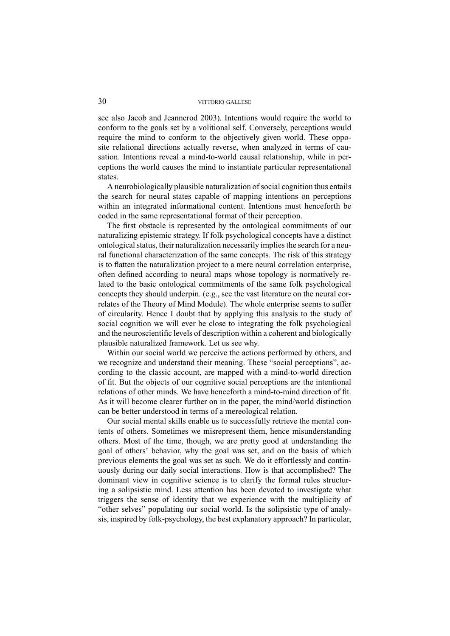see also Jacob and Jeannerod 2003). Intentions would require the world to conform to the goals set by a volitional self. Conversely, perceptions would require the mind to conform to the objectively given world. These opposite relational directions actually reverse, when analyzed in terms of causation. Intentions reveal a mind-to-world causal relationship, while in perceptions the world causes the mind to instantiate particular representational states.

A neurobiologically plausible naturalization of social cognition thus entails the search for neural states capable of mapping intentions on perceptions within an integrated informational content. Intentions must henceforth be coded in the same representational format of their perception.

The first obstacle is represented by the ontological commitments of our naturalizing epistemic strategy. If folk psychological concepts have a distinct ontological status, their naturalization necessarily implies the search for a neural functional characterization of the same concepts. The risk of this strategy is to flatten the naturalization project to a mere neural correlation enterprise, often defined according to neural maps whose topology is normatively related to the basic ontological commitments of the same folk psychological concepts they should underpin. (e.g., see the vast literature on the neural correlates of the Theory of Mind Module). The whole enterprise seems to suffer of circularity. Hence I doubt that by applying this analysis to the study of social cognition we will ever be close to integrating the folk psychological and the neuroscientific levels of description within a coherent and biologically plausible naturalized framework. Let us see why.

Within our social world we perceive the actions performed by others, and we recognize and understand their meaning. These "social perceptions", according to the classic account, are mapped with a mind-to-world direction of fit. But the objects of our cognitive social perceptions are the intentional relations of other minds. We have henceforth a mind-to-mind direction of fit. As it will become clearer further on in the paper, the mind/world distinction can be better understood in terms of a mereological relation.

Our social mental skills enable us to successfully retrieve the mental contents of others. Sometimes we misrepresent them, hence misunderstanding others. Most of the time, though, we are pretty good at understanding the goal of others' behavior, why the goal was set, and on the basis of which previous elements the goal was set as such. We do it effortlessly and continuously during our daily social interactions. How is that accomplished? The dominant view in cognitive science is to clarify the formal rules structuring a solipsistic mind. Less attention has been devoted to investigate what triggers the sense of identity that we experience with the multiplicity of "other selves" populating our social world. Is the solipsistic type of analysis, inspired by folk-psychology, the best explanatory approach? In particular,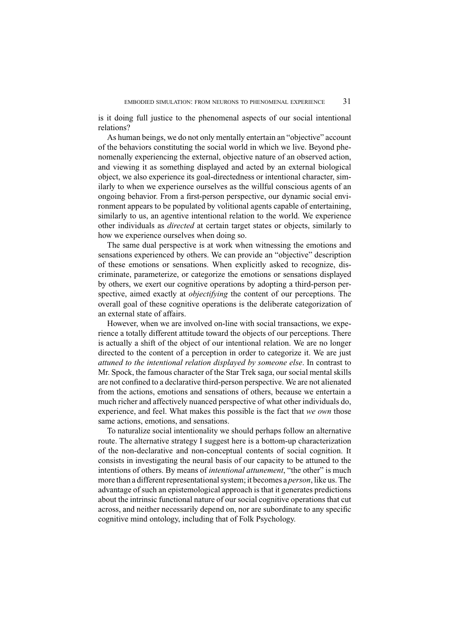is it doing full justice to the phenomenal aspects of our social intentional relations?

As human beings, we do not only mentally entertain an "objective" account of the behaviors constituting the social world in which we live. Beyond phenomenally experiencing the external, objective nature of an observed action, and viewing it as something displayed and acted by an external biological object, we also experience its goal-directedness or intentional character, similarly to when we experience ourselves as the willful conscious agents of an ongoing behavior. From a first-person perspective, our dynamic social environment appears to be populated by volitional agents capable of entertaining, similarly to us, an agentive intentional relation to the world. We experience other individuals as *directed* at certain target states or objects, similarly to how we experience ourselves when doing so.

The same dual perspective is at work when witnessing the emotions and sensations experienced by others. We can provide an "objective" description of these emotions or sensations. When explicitly asked to recognize, discriminate, parameterize, or categorize the emotions or sensations displayed by others, we exert our cognitive operations by adopting a third-person perspective, aimed exactly at *objectifying* the content of our perceptions. The overall goal of these cognitive operations is the deliberate categorization of an external state of affairs.

However, when we are involved on-line with social transactions, we experience a totally different attitude toward the objects of our perceptions. There is actually a shift of the object of our intentional relation. We are no longer directed to the content of a perception in order to categorize it. We are just *attuned to the intentional relation displayed by someone else*. In contrast to Mr. Spock, the famous character of the Star Trek saga, our social mental skills are not confined to a declarative third-person perspective. We are not alienated from the actions, emotions and sensations of others, because we entertain a much richer and affectively nuanced perspective of what other individuals do, experience, and feel. What makes this possible is the fact that *we own* those same actions, emotions, and sensations.

To naturalize social intentionality we should perhaps follow an alternative route. The alternative strategy I suggest here is a bottom-up characterization of the non-declarative and non-conceptual contents of social cognition. It consists in investigating the neural basis of our capacity to be attuned to the intentions of others. By means of *intentional attunement*, "the other" is much more than a different representational system; it becomes a *person*, like us. The advantage of such an epistemological approach is that it generates predictions about the intrinsic functional nature of our social cognitive operations that cut across, and neither necessarily depend on, nor are subordinate to any specific cognitive mind ontology, including that of Folk Psychology.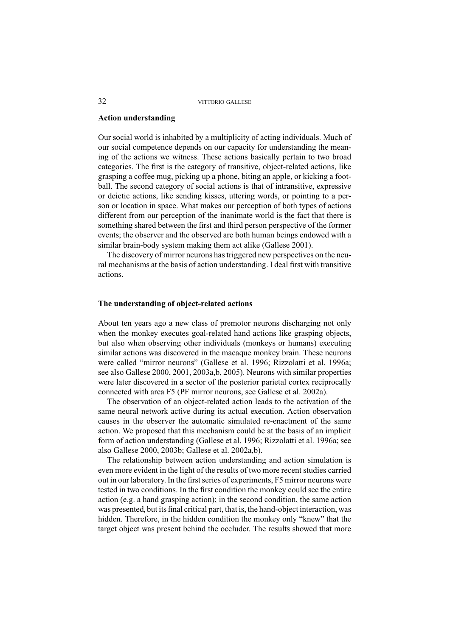### **Action understanding**

Our social world is inhabited by a multiplicity of acting individuals. Much of our social competence depends on our capacity for understanding the meaning of the actions we witness. These actions basically pertain to two broad categories. The first is the category of transitive, object-related actions, like grasping a coffee mug, picking up a phone, biting an apple, or kicking a football. The second category of social actions is that of intransitive, expressive or deictic actions, like sending kisses, uttering words, or pointing to a person or location in space. What makes our perception of both types of actions different from our perception of the inanimate world is the fact that there is something shared between the first and third person perspective of the former events; the observer and the observed are both human beings endowed with a similar brain-body system making them act alike (Gallese 2001).

The discovery of mirror neurons has triggered new perspectives on the neural mechanisms at the basis of action understanding. I deal first with transitive actions.

## **The understanding of object-related actions**

About ten years ago a new class of premotor neurons discharging not only when the monkey executes goal-related hand actions like grasping objects, but also when observing other individuals (monkeys or humans) executing similar actions was discovered in the macaque monkey brain. These neurons were called "mirror neurons" (Gallese et al. 1996; Rizzolatti et al. 1996a; see also Gallese 2000, 2001, 2003a,b, 2005). Neurons with similar properties were later discovered in a sector of the posterior parietal cortex reciprocally connected with area F5 (PF mirror neurons, see Gallese et al. 2002a).

The observation of an object-related action leads to the activation of the same neural network active during its actual execution. Action observation causes in the observer the automatic simulated re-enactment of the same action. We proposed that this mechanism could be at the basis of an implicit form of action understanding (Gallese et al. 1996; Rizzolatti et al. 1996a; see also Gallese 2000, 2003b; Gallese et al. 2002a,b).

The relationship between action understanding and action simulation is even more evident in the light of the results of two more recent studies carried out in our laboratory. In the first series of experiments, F5 mirror neurons were tested in two conditions. In the first condition the monkey could see the entire action (e.g. a hand grasping action); in the second condition, the same action was presented, but its final critical part, that is, the hand-object interaction, was hidden. Therefore, in the hidden condition the monkey only "knew" that the target object was present behind the occluder. The results showed that more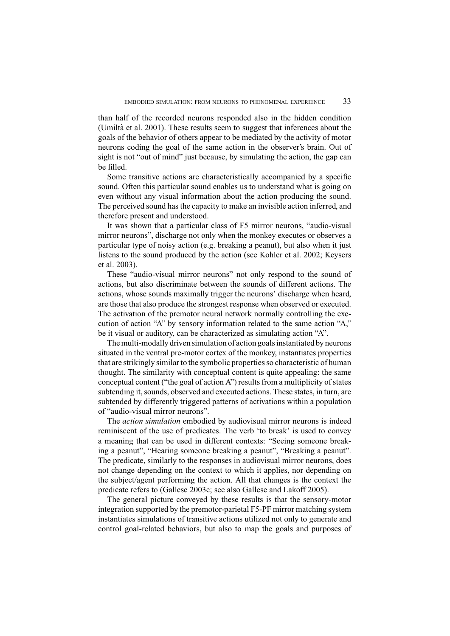than half of the recorded neurons responded also in the hidden condition (Umiltà et al. 2001). These results seem to suggest that inferences about the goals of the behavior of others appear to be mediated by the activity of motor neurons coding the goal of the same action in the observer's brain. Out of sight is not "out of mind" just because, by simulating the action, the gap can be filled.

Some transitive actions are characteristically accompanied by a specific sound. Often this particular sound enables us to understand what is going on even without any visual information about the action producing the sound. The perceived sound has the capacity to make an invisible action inferred, and therefore present and understood.

It was shown that a particular class of F5 mirror neurons, "audio-visual mirror neurons", discharge not only when the monkey executes or observes a particular type of noisy action (e.g. breaking a peanut), but also when it just listens to the sound produced by the action (see Kohler et al. 2002; Keysers et al. 2003).

These "audio-visual mirror neurons" not only respond to the sound of actions, but also discriminate between the sounds of different actions. The actions, whose sounds maximally trigger the neurons' discharge when heard, are those that also produce the strongest response when observed or executed. The activation of the premotor neural network normally controlling the execution of action "A" by sensory information related to the same action "A," be it visual or auditory, can be characterized as simulating action "A".

The multi-modally driven simulation of action goals instantiated by neurons situated in the ventral pre-motor cortex of the monkey, instantiates properties that are strikingly similar to the symbolic properties so characteristic of human thought. The similarity with conceptual content is quite appealing: the same conceptual content ("the goal of action A") results from a multiplicity of states subtending it, sounds, observed and executed actions. These states, in turn, are subtended by differently triggered patterns of activations within a population of "audio-visual mirror neurons".

The *action simulation* embodied by audiovisual mirror neurons is indeed reminiscent of the use of predicates. The verb 'to break' is used to convey a meaning that can be used in different contexts: "Seeing someone breaking a peanut", "Hearing someone breaking a peanut", "Breaking a peanut". The predicate, similarly to the responses in audiovisual mirror neurons, does not change depending on the context to which it applies, nor depending on the subject/agent performing the action. All that changes is the context the predicate refers to (Gallese 2003c; see also Gallese and Lakoff 2005).

The general picture conveyed by these results is that the sensory-motor integration supported by the premotor-parietal F5-PF mirror matching system instantiates simulations of transitive actions utilized not only to generate and control goal-related behaviors, but also to map the goals and purposes of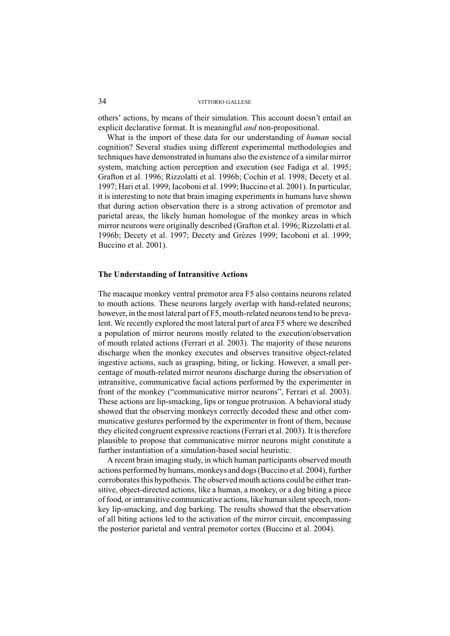others' actions, by means of their simulation. This account doesn't entail an explicit declarative format. It is meaningful *and* non-propositional.

What is the import of these data for our understanding of *human* social cognition? Several studies using different experimental methodologies and techniques have demonstrated in humans also the existence of a similar mirror system, matching action perception and execution (see Fadiga et al. 1995; Grafton et al. 1996; Rizzolatti et al. 1996b; Cochin et al. 1998; Decety et al. 1997; Hari et al. 1999; Iacoboni et al. 1999; Buccino et al. 2001). In particular, it is interesting to note that brain imaging experiments in humans have shown that during action observation there is a strong activation of premotor and parietal areas, the likely human homologue of the monkey areas in which mirror neurons were originally described (Grafton et al. 1996; Rizzolatti et al. 1996b; Decety et al. 1997; Decety and Grèzes 1999; Iacoboni et al. 1999; Buccino et al. 2001).

## **The Understanding of Intransitive Actions**

The macaque monkey ventral premotor area F5 also contains neurons related to mouth actions. These neurons largely overlap with hand-related neurons; however, in the most lateral part of F5, mouth-related neurons tend to be prevalent. We recently explored the most lateral part of area F5 where we described a population of mirror neurons mostly related to the execution/observation of mouth related actions (Ferrari et al. 2003). The majority of these neurons discharge when the monkey executes and observes transitive object-related ingestive actions, such as grasping, biting, or licking. However, a small percentage of mouth-related mirror neurons discharge during the observation of intransitive, communicative facial actions performed by the experimenter in front of the monkey ("communicative mirror neurons", Ferrari et al. 2003). These actions are lip-smacking, lips or tongue protrusion. A behavioral study showed that the observing monkeys correctly decoded these and other communicative gestures performed by the experimenter in front of them, because they elicited congruent expressive reactions (Ferrari et al. 2003). It is therefore plausible to propose that communicative mirror neurons might constitute a further instantiation of a simulation-based social heuristic.

A recent brain imaging study, in which human participants observed mouth actions performed by humans, monkeys and dogs (Buccino et al. 2004), further corroborates this hypothesis. The observed mouth actions could be either transitive, object-directed actions, like a human, a monkey, or a dog biting a piece of food, or intransitive communicative actions, like human silent speech, monkey lip-smacking, and dog barking. The results showed that the observation of all biting actions led to the activation of the mirror circuit, encompassing the posterior parietal and ventral premotor cortex (Buccino et al. 2004).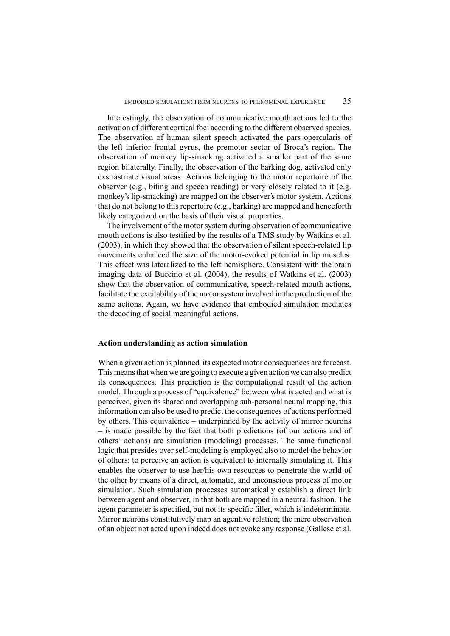Interestingly, the observation of communicative mouth actions led to the activation of different cortical foci according to the different observed species. The observation of human silent speech activated the pars opercularis of the left inferior frontal gyrus, the premotor sector of Broca's region. The observation of monkey lip-smacking activated a smaller part of the same region bilaterally. Finally, the observation of the barking dog, activated only exstrastriate visual areas. Actions belonging to the motor repertoire of the observer (e.g., biting and speech reading) or very closely related to it (e.g. monkey's lip-smacking) are mapped on the observer's motor system. Actions that do not belong to this repertoire (e.g., barking) are mapped and henceforth likely categorized on the basis of their visual properties.

The involvement of the motor system during observation of communicative mouth actions is also testified by the results of a TMS study by Watkins et al. (2003), in which they showed that the observation of silent speech-related lip movements enhanced the size of the motor-evoked potential in lip muscles. This effect was lateralized to the left hemisphere. Consistent with the brain imaging data of Buccino et al. (2004), the results of Watkins et al. (2003) show that the observation of communicative, speech-related mouth actions, facilitate the excitability of the motor system involved in the production of the same actions. Again, we have evidence that embodied simulation mediates the decoding of social meaningful actions.

## **Action understanding as action simulation**

When a given action is planned, its expected motor consequences are forecast. This means that when we are going to execute a given action we can also predict its consequences. This prediction is the computational result of the action model. Through a process of "equivalence" between what is acted and what is perceived, given its shared and overlapping sub-personal neural mapping, this information can also be used to predict the consequences of actions performed by others. This equivalence – underpinned by the activity of mirror neurons – is made possible by the fact that both predictions (of our actions and of others' actions) are simulation (modeling) processes. The same functional logic that presides over self-modeling is employed also to model the behavior of others: to perceive an action is equivalent to internally simulating it. This enables the observer to use her/his own resources to penetrate the world of the other by means of a direct, automatic, and unconscious process of motor simulation. Such simulation processes automatically establish a direct link between agent and observer, in that both are mapped in a neutral fashion. The agent parameter is specified, but not its specific filler, which is indeterminate. Mirror neurons constitutively map an agentive relation; the mere observation of an object not acted upon indeed does not evoke any response (Gallese et al.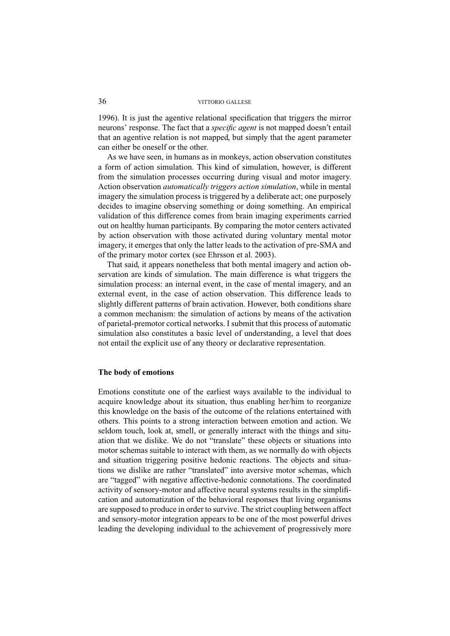1996). It is just the agentive relational specification that triggers the mirror neurons' response. The fact that a *specific agent* is not mapped doesn't entail that an agentive relation is not mapped, but simply that the agent parameter can either be oneself or the other.

As we have seen, in humans as in monkeys, action observation constitutes a form of action simulation. This kind of simulation, however, is different from the simulation processes occurring during visual and motor imagery. Action observation *automatically triggers action simulation*, while in mental imagery the simulation process is triggered by a deliberate act; one purposely decides to imagine observing something or doing something. An empirical validation of this difference comes from brain imaging experiments carried out on healthy human participants. By comparing the motor centers activated by action observation with those activated during voluntary mental motor imagery, it emerges that only the latter leads to the activation of pre-SMA and of the primary motor cortex (see Ehrsson et al. 2003).

That said, it appears nonetheless that both mental imagery and action observation are kinds of simulation. The main difference is what triggers the simulation process: an internal event, in the case of mental imagery, and an external event, in the case of action observation. This difference leads to slightly different patterns of brain activation. However, both conditions share a common mechanism: the simulation of actions by means of the activation of parietal-premotor cortical networks. I submit that this process of automatic simulation also constitutes a basic level of understanding, a level that does not entail the explicit use of any theory or declarative representation.

## **The body of emotions**

Emotions constitute one of the earliest ways available to the individual to acquire knowledge about its situation, thus enabling her/him to reorganize this knowledge on the basis of the outcome of the relations entertained with others. This points to a strong interaction between emotion and action. We seldom touch, look at, smell, or generally interact with the things and situation that we dislike. We do not "translate" these objects or situations into motor schemas suitable to interact with them, as we normally do with objects and situation triggering positive hedonic reactions. The objects and situations we dislike are rather "translated" into aversive motor schemas, which are "tagged" with negative affective-hedonic connotations. The coordinated activity of sensory-motor and affective neural systems results in the simplification and automatization of the behavioral responses that living organisms are supposed to produce in order to survive. The strict coupling between affect and sensory-motor integration appears to be one of the most powerful drives leading the developing individual to the achievement of progressively more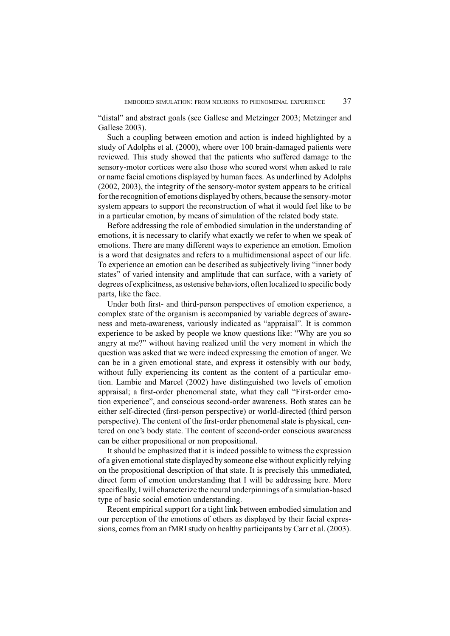"distal" and abstract goals (see Gallese and Metzinger 2003; Metzinger and Gallese 2003).

Such a coupling between emotion and action is indeed highlighted by a study of Adolphs et al. (2000), where over 100 brain-damaged patients were reviewed. This study showed that the patients who suffered damage to the sensory-motor cortices were also those who scored worst when asked to rate or name facial emotions displayed by human faces. As underlined by Adolphs (2002, 2003), the integrity of the sensory-motor system appears to be critical for the recognition of emotions displayed by others, because the sensory-motor system appears to support the reconstruction of what it would feel like to be in a particular emotion, by means of simulation of the related body state.

Before addressing the role of embodied simulation in the understanding of emotions, it is necessary to clarify what exactly we refer to when we speak of emotions. There are many different ways to experience an emotion. Emotion is a word that designates and refers to a multidimensional aspect of our life. To experience an emotion can be described as subjectively living "inner body states" of varied intensity and amplitude that can surface, with a variety of degrees of explicitness, as ostensive behaviors, often localized to specific body parts, like the face.

Under both first- and third-person perspectives of emotion experience, a complex state of the organism is accompanied by variable degrees of awareness and meta-awareness, variously indicated as "appraisal". It is common experience to be asked by people we know questions like: "Why are you so angry at me?" without having realized until the very moment in which the question was asked that we were indeed expressing the emotion of anger. We can be in a given emotional state, and express it ostensibly with our body, without fully experiencing its content as the content of a particular emotion. Lambie and Marcel (2002) have distinguished two levels of emotion appraisal; a first-order phenomenal state, what they call "First-order emotion experience", and conscious second-order awareness. Both states can be either self-directed (first-person perspective) or world-directed (third person perspective). The content of the first-order phenomenal state is physical, centered on one's body state. The content of second-order conscious awareness can be either propositional or non propositional.

It should be emphasized that it is indeed possible to witness the expression of a given emotional state displayed by someone else without explicitly relying on the propositional description of that state. It is precisely this unmediated, direct form of emotion understanding that I will be addressing here. More specifically, I will characterize the neural underpinnings of a simulation-based type of basic social emotion understanding.

Recent empirical support for a tight link between embodied simulation and our perception of the emotions of others as displayed by their facial expressions, comes from an fMRI study on healthy participants by Carr et al. (2003).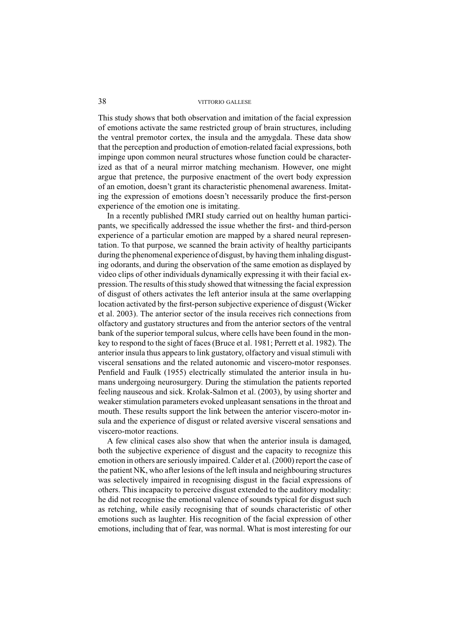This study shows that both observation and imitation of the facial expression of emotions activate the same restricted group of brain structures, including the ventral premotor cortex, the insula and the amygdala. These data show that the perception and production of emotion-related facial expressions, both impinge upon common neural structures whose function could be characterized as that of a neural mirror matching mechanism. However, one might argue that pretence, the purposive enactment of the overt body expression of an emotion, doesn't grant its characteristic phenomenal awareness. Imitating the expression of emotions doesn't necessarily produce the first-person experience of the emotion one is imitating.

In a recently published fMRI study carried out on healthy human participants, we specifically addressed the issue whether the first- and third-person experience of a particular emotion are mapped by a shared neural representation. To that purpose, we scanned the brain activity of healthy participants during the phenomenal experience of disgust, by having them inhaling disgusting odorants, and during the observation of the same emotion as displayed by video clips of other individuals dynamically expressing it with their facial expression. The results of this study showed that witnessing the facial expression of disgust of others activates the left anterior insula at the same overlapping location activated by the first-person subjective experience of disgust (Wicker et al. 2003). The anterior sector of the insula receives rich connections from olfactory and gustatory structures and from the anterior sectors of the ventral bank of the superior temporal sulcus, where cells have been found in the monkey to respond to the sight of faces (Bruce et al. 1981; Perrett et al. 1982). The anterior insula thus appears to link gustatory, olfactory and visual stimuli with visceral sensations and the related autonomic and viscero-motor responses. Penfield and Faulk (1955) electrically stimulated the anterior insula in humans undergoing neurosurgery. During the stimulation the patients reported feeling nauseous and sick. Krolak-Salmon et al. (2003), by using shorter and weaker stimulation parameters evoked unpleasant sensations in the throat and mouth. These results support the link between the anterior viscero-motor insula and the experience of disgust or related aversive visceral sensations and viscero-motor reactions.

A few clinical cases also show that when the anterior insula is damaged, both the subjective experience of disgust and the capacity to recognize this emotion in others are seriously impaired. Calder et al. (2000) report the case of the patient NK, who after lesions of the left insula and neighbouring structures was selectively impaired in recognising disgust in the facial expressions of others. This incapacity to perceive disgust extended to the auditory modality: he did not recognise the emotional valence of sounds typical for disgust such as retching, while easily recognising that of sounds characteristic of other emotions such as laughter. His recognition of the facial expression of other emotions, including that of fear, was normal. What is most interesting for our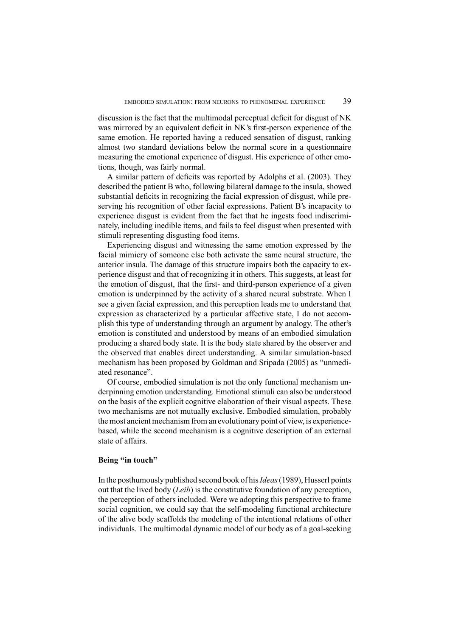discussion is the fact that the multimodal perceptual deficit for disgust of NK was mirrored by an equivalent deficit in NK's first-person experience of the same emotion. He reported having a reduced sensation of disgust, ranking almost two standard deviations below the normal score in a questionnaire measuring the emotional experience of disgust. His experience of other emotions, though, was fairly normal.

A similar pattern of deficits was reported by Adolphs et al. (2003). They described the patient B who, following bilateral damage to the insula, showed substantial deficits in recognizing the facial expression of disgust, while preserving his recognition of other facial expressions. Patient B's incapacity to experience disgust is evident from the fact that he ingests food indiscriminately, including inedible items, and fails to feel disgust when presented with stimuli representing disgusting food items.

Experiencing disgust and witnessing the same emotion expressed by the facial mimicry of someone else both activate the same neural structure, the anterior insula. The damage of this structure impairs both the capacity to experience disgust and that of recognizing it in others. This suggests, at least for the emotion of disgust, that the first- and third-person experience of a given emotion is underpinned by the activity of a shared neural substrate. When I see a given facial expression, and this perception leads me to understand that expression as characterized by a particular affective state, I do not accomplish this type of understanding through an argument by analogy. The other's emotion is constituted and understood by means of an embodied simulation producing a shared body state. It is the body state shared by the observer and the observed that enables direct understanding. A similar simulation-based mechanism has been proposed by Goldman and Sripada (2005) as "unmediated resonance".

Of course, embodied simulation is not the only functional mechanism underpinning emotion understanding. Emotional stimuli can also be understood on the basis of the explicit cognitive elaboration of their visual aspects. These two mechanisms are not mutually exclusive. Embodied simulation, probably the most ancient mechanism from an evolutionary point of view, is experiencebased, while the second mechanism is a cognitive description of an external state of affairs.

# **Being "in touch"**

In the posthumously published second book of his*Ideas*(1989), Husserl points out that the lived body (*Leib*) is the constitutive foundation of any perception, the perception of others included. Were we adopting this perspective to frame social cognition, we could say that the self-modeling functional architecture of the alive body scaffolds the modeling of the intentional relations of other individuals. The multimodal dynamic model of our body as of a goal-seeking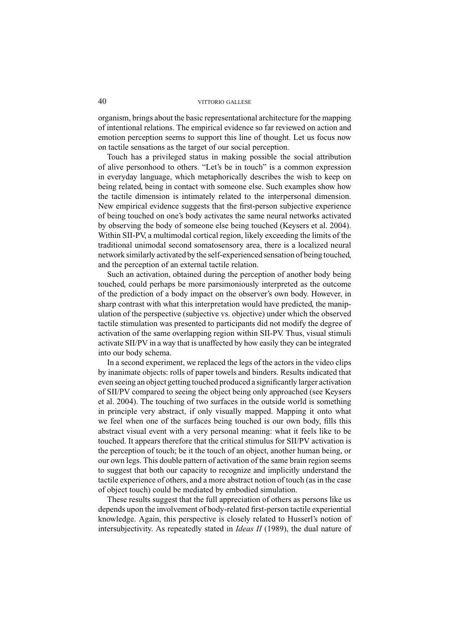organism, brings about the basic representational architecture for the mapping of intentional relations. The empirical evidence so far reviewed on action and emotion perception seems to support this line of thought. Let us focus now on tactile sensations as the target of our social perception.

Touch has a privileged status in making possible the social attribution of alive personhood to others. "Let's be in touch" is a common expression in everyday language, which metaphorically describes the wish to keep on being related, being in contact with someone else. Such examples show how the tactile dimension is intimately related to the interpersonal dimension. New empirical evidence suggests that the first-person subjective experience of being touched on one's body activates the same neural networks activated by observing the body of someone else being touched (Keysers et al. 2004). Within SII-PV, a multimodal cortical region, likely exceeding the limits of the traditional unimodal second somatosensory area, there is a localized neural network similarly activated by the self-experienced sensation of being touched, and the perception of an external tactile relation.

Such an activation, obtained during the perception of another body being touched, could perhaps be more parsimoniously interpreted as the outcome of the prediction of a body impact on the observer's own body. However, in sharp contrast with what this interpretation would have predicted, the manipulation of the perspective (subjective vs. objective) under which the observed tactile stimulation was presented to participants did not modify the degree of activation of the same overlapping region within SII-PV. Thus, visual stimuli activate SII/PV in a way that is unaffected by how easily they can be integrated into our body schema.

In a second experiment, we replaced the legs of the actors in the video clips by inanimate objects: rolls of paper towels and binders. Results indicated that even seeing an object getting touched produced a significantly larger activation of SII/PV compared to seeing the object being only approached (see Keysers et al. 2004). The touching of two surfaces in the outside world is something in principle very abstract, if only visually mapped. Mapping it onto what we feel when one of the surfaces being touched is our own body, fills this abstract visual event with a very personal meaning: what it feels like to be touched. It appears therefore that the critical stimulus for SII/PV activation is the perception of touch; be it the touch of an object, another human being, or our own legs. This double pattern of activation of the same brain region seems to suggest that both our capacity to recognize and implicitly understand the tactile experience of others, and a more abstract notion of touch (as in the case of object touch) could be mediated by embodied simulation.

These results suggest that the full appreciation of others as persons like us depends upon the involvement of body-related first-person tactile experiential knowledge. Again, this perspective is closely related to Husserl's notion of intersubjectivity. As repeatedly stated in *Ideas II* (1989), the dual nature of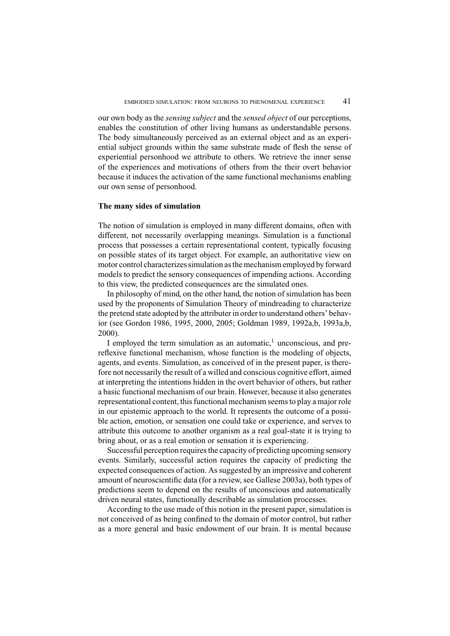our own body as the *sensing subject* and the *sensed object* of our perceptions, enables the constitution of other living humans as understandable persons. The body simultaneously perceived as an external object and as an experiential subject grounds within the same substrate made of flesh the sense of experiential personhood we attribute to others. We retrieve the inner sense of the experiences and motivations of others from the their overt behavior because it induces the activation of the same functional mechanisms enabling our own sense of personhood.

## **The many sides of simulation**

The notion of simulation is employed in many different domains, often with different, not necessarily overlapping meanings. Simulation is a functional process that possesses a certain representational content, typically focusing on possible states of its target object. For example, an authoritative view on motor control characterizes simulation as the mechanism employed by forward models to predict the sensory consequences of impending actions. According to this view, the predicted consequences are the simulated ones.

In philosophy of mind, on the other hand, the notion of simulation has been used by the proponents of Simulation Theory of mindreading to characterize the pretend state adopted by the attributer in order to understand others' behavior (see Gordon 1986, 1995, 2000, 2005; Goldman 1989, 1992a,b, 1993a,b, 2000).

I employed the term simulation as an automatic, $<sup>1</sup>$  unconscious, and pre-</sup> reflexive functional mechanism, whose function is the modeling of objects, agents, and events. Simulation, as conceived of in the present paper, is therefore not necessarily the result of a willed and conscious cognitive effort, aimed at interpreting the intentions hidden in the overt behavior of others, but rather a basic functional mechanism of our brain. However, because it also generates representational content, this functional mechanism seems to play a major role in our epistemic approach to the world. It represents the outcome of a possible action, emotion, or sensation one could take or experience, and serves to attribute this outcome to another organism as a real goal-state it is trying to bring about, or as a real emotion or sensation it is experiencing.

Successful perception requires the capacity of predicting upcoming sensory events. Similarly, successful action requires the capacity of predicting the expected consequences of action. As suggested by an impressive and coherent amount of neuroscientific data (for a review, see Gallese 2003a), both types of predictions seem to depend on the results of unconscious and automatically driven neural states, functionally describable as simulation processes.

According to the use made of this notion in the present paper, simulation is not conceived of as being confined to the domain of motor control, but rather as a more general and basic endowment of our brain. It is mental because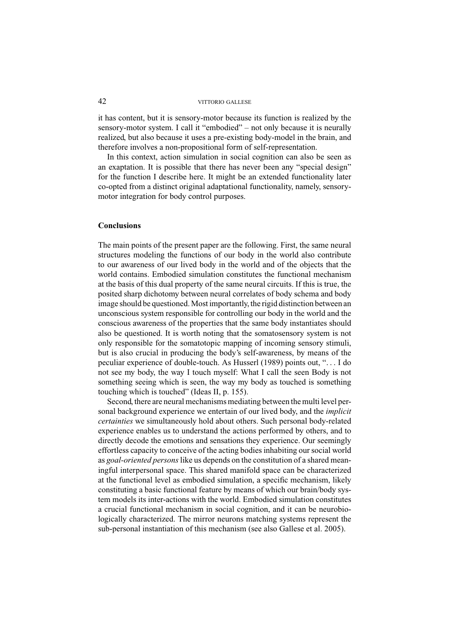it has content, but it is sensory-motor because its function is realized by the sensory-motor system. I call it "embodied" – not only because it is neurally realized, but also because it uses a pre-existing body-model in the brain, and therefore involves a non-propositional form of self-representation.

In this context, action simulation in social cognition can also be seen as an exaptation. It is possible that there has never been any "special design" for the function I describe here. It might be an extended functionality later co-opted from a distinct original adaptational functionality, namely, sensorymotor integration for body control purposes.

## **Conclusions**

The main points of the present paper are the following. First, the same neural structures modeling the functions of our body in the world also contribute to our awareness of our lived body in the world and of the objects that the world contains. Embodied simulation constitutes the functional mechanism at the basis of this dual property of the same neural circuits. If this is true, the posited sharp dichotomy between neural correlates of body schema and body image should be questioned. Most importantly, the rigid distinction between an unconscious system responsible for controlling our body in the world and the conscious awareness of the properties that the same body instantiates should also be questioned. It is worth noting that the somatosensory system is not only responsible for the somatotopic mapping of incoming sensory stimuli, but is also crucial in producing the body's self-awareness, by means of the peculiar experience of double-touch. As Husserl (1989) points out, "... I do not see my body, the way I touch myself: What I call the seen Body is not something seeing which is seen, the way my body as touched is something touching which is touched" (Ideas II, p. 155).

Second, there are neural mechanisms mediating between the multi level personal background experience we entertain of our lived body, and the *implicit certainties* we simultaneously hold about others. Such personal body-related experience enables us to understand the actions performed by others, and to directly decode the emotions and sensations they experience. Our seemingly effortless capacity to conceive of the acting bodies inhabiting our social world as *goal-oriented persons*like us depends on the constitution of a shared meaningful interpersonal space. This shared manifold space can be characterized at the functional level as embodied simulation, a specific mechanism, likely constituting a basic functional feature by means of which our brain/body system models its inter-actions with the world. Embodied simulation constitutes a crucial functional mechanism in social cognition, and it can be neurobiologically characterized. The mirror neurons matching systems represent the sub-personal instantiation of this mechanism (see also Gallese et al. 2005).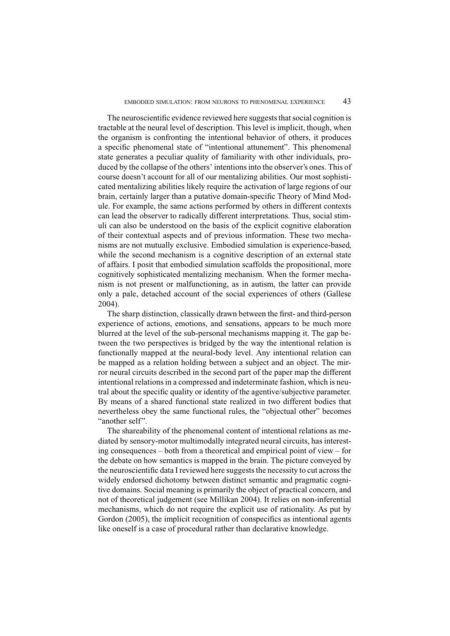The neuroscientific evidence reviewed here suggests that social cognition is tractable at the neural level of description. This level is implicit, though, when the organism is confronting the intentional behavior of others, it produces a specific phenomenal state of "intentional attunement". This phenomenal state generates a peculiar quality of familiarity with other individuals, produced by the collapse of the others' intentions into the observer's ones. This of course doesn't account for all of our mentalizing abilities. Our most sophisticated mentalizing abilities likely require the activation of large regions of our brain, certainly larger than a putative domain-specific Theory of Mind Module. For example, the same actions performed by others in different contexts can lead the observer to radically different interpretations. Thus, social stimuli can also be understood on the basis of the explicit cognitive elaboration of their contextual aspects and of previous information. These two mechanisms are not mutually exclusive. Embodied simulation is experience-based, while the second mechanism is a cognitive description of an external state of affairs. I posit that embodied simulation scaffolds the propositional, more cognitively sophisticated mentalizing mechanism. When the former mechanism is not present or malfunctioning, as in autism, the latter can provide only a pale, detached account of the social experiences of others (Gallese 2004).

The sharp distinction, classically drawn between the first- and third-person experience of actions, emotions, and sensations, appears to be much more blurred at the level of the sub-personal mechanisms mapping it. The gap between the two perspectives is bridged by the way the intentional relation is functionally mapped at the neural-body level. Any intentional relation can be mapped as a relation holding between a subject and an object. The mirror neural circuits described in the second part of the paper map the different intentional relations in a compressed and indeterminate fashion, which is neutral about the specific quality or identity of the agentive/subjective parameter. By means of a shared functional state realized in two different bodies that nevertheless obey the same functional rules, the "objectual other" becomes "another self".

The shareability of the phenomenal content of intentional relations as mediated by sensory-motor multimodally integrated neural circuits, has interesting consequences – both from a theoretical and empirical point of view – for the debate on how semantics is mapped in the brain. The picture conveyed by the neuroscientific data I reviewed here suggests the necessity to cut across the widely endorsed dichotomy between distinct semantic and pragmatic cognitive domains. Social meaning is primarily the object of practical concern, and not of theoretical judgement (see Millikan 2004). It relies on non-inferential mechanisms, which do not require the explicit use of rationality. As put by Gordon (2005), the implicit recognition of conspecifics as intentional agents like oneself is a case of procedural rather than declarative knowledge.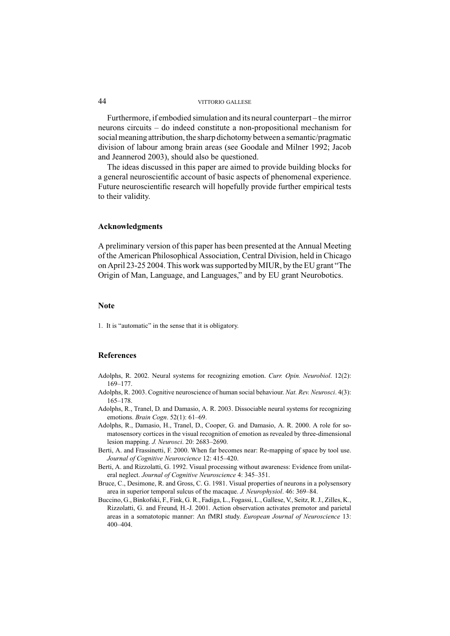Furthermore, if embodied simulation and its neural counterpart – the mirror neurons circuits – do indeed constitute a non-propositional mechanism for social meaning attribution, the sharp dichotomy between a semantic/pragmatic division of labour among brain areas (see Goodale and Milner 1992; Jacob and Jeannerod 2003), should also be questioned.

The ideas discussed in this paper are aimed to provide building blocks for a general neuroscientific account of basic aspects of phenomenal experience. Future neuroscientific research will hopefully provide further empirical tests to their validity.

## **Acknowledgments**

A preliminary version of this paper has been presented at the Annual Meeting of the American Philosophical Association, Central Division, held in Chicago on April 23-25 2004. This work was supported by MIUR, by the EU grant "The Origin of Man, Language, and Languages," and by EU grant Neurobotics.

## **Note**

1. It is "automatic" in the sense that it is obligatory.

#### **References**

- Adolphs, R. 2002. Neural systems for recognizing emotion. *Curr. Opin. Neurobiol*. 12(2): 169–177.
- Adolphs, R. 2003. Cognitive neuroscience of human social behaviour. *Nat. Rev. Neurosci*. 4(3): 165–178.
- Adolphs, R., Tranel, D. and Damasio, A. R. 2003. Dissociable neural systems for recognizing emotions. *Brain Cogn*. 52(1): 61–69.
- Adolphs, R., Damasio, H., Tranel, D., Cooper, G. and Damasio, A. R. 2000. A role for somatosensory cortices in the visual recognition of emotion as revealed by three-dimensional lesion mapping. *J. Neurosci*. 20: 2683–2690.
- Berti, A. and Frassinetti, F. 2000. When far becomes near: Re-mapping of space by tool use. *Journal of Cognitive Neuroscience* 12: 415–420.
- Berti, A. and Rizzolatti, G. 1992. Visual processing without awareness: Evidence from unilateral neglect. *Journal of Cognitive Neuroscience* 4: 345–351.
- Bruce, C., Desimone, R. and Gross, C. G. 1981. Visual properties of neurons in a polysensory area in superior temporal sulcus of the macaque. *J. Neurophysiol*. 46: 369–84.
- Buccino, G., Binkofski, F., Fink, G. R., Fadiga, L., Fogassi, L., Gallese, V., Seitz, R. J., Zilles, K., Rizzolatti, G. and Freund, H.-J. 2001. Action observation activates premotor and parietal areas in a somatotopic manner: An fMRI study. *European Journal of Neuroscience* 13: 400–404.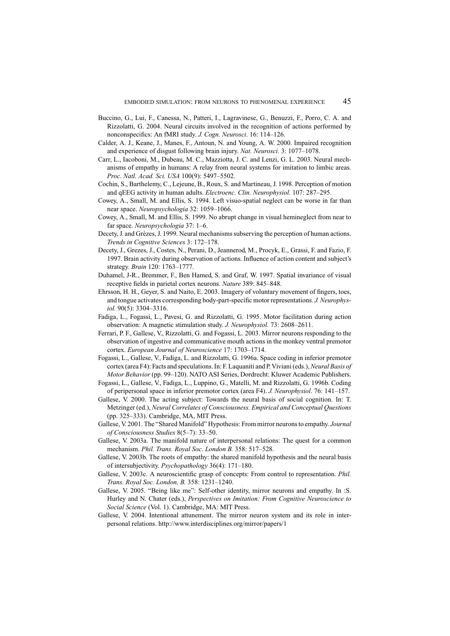- Buccino, G., Lui, F., Canessa, N., Patteri, I., Lagravinese, G., Benuzzi, F., Porro, C. A. and Rizzolatti, G. 2004. Neural circuits involved in the recognition of actions performed by nonconspecifics: An fMRI study. *J. Cogn. Neurosci*. 16: 114–126.
- Calder, A. J., Keane, J., Manes, F., Antoun, N. and Young, A. W. 2000. Impaired recognition and experience of disgust following brain injury. *Nat. Neurosci.* 3: 1077–1078.
- Carr, L., Iacoboni, M., Dubeau, M. C., Mazziotta, J. C. and Lenzi, G. L. 2003. Neural mechanisms of empathy in humans: A relay from neural systems for imitation to limbic areas. *Proc. Natl. Acad. Sci. USA* 100(9): 5497–5502.
- Cochin, S., Barthelemy, C., Lejeune, B., Roux, S. and Martineau, J. 1998. Perception of motion and qEEG activity in human adults. *Electroenc. Clin. Neurophysiol.* 107: 287–295.
- Cowey, A., Small, M. and Ellis, S. 1994. Left visuo-spatial neglect can be worse in far than near space. *Neuropsychologia* 32: 1059–1066.
- Cowey, A., Small, M. and Ellis, S. 1999. No abrupt change in visual hemineglect from near to far space. *Neuropsychologia* 37: 1–6.
- Decety, J. and Grèzes, J. 1999. Neural mechanisms subserving the perception of human actions. *Trends in Cognitive Sciences* 3: 172–178.
- Decety, J., Grezes, J., Costes, N., Perani, D., Jeannerod, M., Procyk, E., Grassi, F. and Fazio, F. 1997. Brain activity during observation of actions. Influence of action content and subject's strategy. *Brain* 120: 1763–1777.
- Duhamel, J-R., Bremmer, F., Ben Hamed, S. and Graf, W. 1997. Spatial invariance of visual receptive fields in parietal cortex neurons. *Nature* 389: 845–848.
- Ehrsson, H. H., Geyer, S. and Naito, E. 2003. Imagery of voluntary movement of fingers, toes, and tongue activates corresponding body-part-specific motor representations. *J. Neurophysiol.* 90(5): 3304–3316.
- Fadiga, L., Fogassi, L., Pavesi, G. and Rizzolatti, G. 1995. Motor facilitation during action observation: A magnetic stimulation study. *J. Neurophysiol.* 73: 2608–2611.
- Ferrari, P. F., Gallese, V., Rizzolatti, G. and Fogassi, L. 2003. Mirror neurons responding to the observation of ingestive and communicative mouth actions in the monkey ventral premotor cortex. *European Journal of Neuroscience* 17: 1703–1714.
- Fogassi, L., Gallese, V., Fadiga, L. and Rizzolatti, G. 1996a. Space coding in inferior premotor cortex (area F4): Facts and speculations. In: F. Laquaniti and P. Viviani (eds.),*Neural Basis of Motor Behavior* (pp. 99–120). NATO ASI Series, Dordrecht: Kluwer Academic Publishers.
- Fogassi, L., Gallese, V., Fadiga, L., Luppino, G., Matelli, M. and Rizzolatti, G. 1996b. Coding of peripersonal space in inferior premotor cortex (area F4). *J. Neurophysiol*. 76: 141–157.
- Gallese, V. 2000. The acting subject: Towards the neural basis of social cognition. In: T. Metzinger (ed.), *Neural Correlates of Consciousness. Empirical and Conceptual Questions* (pp. 325–333). Cambridge, MA, MIT Press.
- Gallese, V. 2001. The "Shared Manifold" Hypothesis: From mirror neurons to empathy. *Journal of Consciousness Studies* 8(5–7): 33–50.
- Gallese, V. 2003a. The manifold nature of interpersonal relations: The quest for a common mechanism. *Phil. Trans. Royal Soc. London B.* 358: 517–528.
- Gallese, V. 2003b. The roots of empathy: the shared manifold hypothesis and the neural basis of intersubjectivity. *Psychopathology* 36(4): 171–180.
- Gallese, V. 2003c. A neuroscientific grasp of concepts: From control to representation. *Phil. Trans. Royal Soc. London, B.* 358: 1231–1240.
- Gallese, V. 2005. "Being like me": Self-other identity, mirror neurons and empathy. In :S. Hurley and N. Chater (eds.), *Perspectives on Imitation: From Cognitive Neuroscience to Social Science* (Vol. 1). Cambridge, MA: MIT Press.
- Gallese, V. 2004. Intentional attunement. The mirror neuron system and its role in interpersonal relations. http://www.interdisciplines.org/mirror/papers/1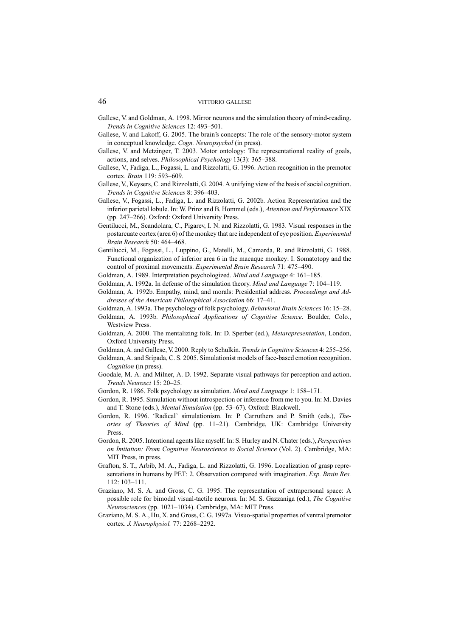- Gallese, V. and Goldman, A. 1998. Mirror neurons and the simulation theory of mind-reading. *Trends in Cognitive Sciences* 12: 493–501.
- Gallese, V. and Lakoff, G. 2005. The brain's concepts: The role of the sensory-motor system in conceptual knowledge. *Cogn. Neuropsychol* (in press).
- Gallese, V. and Metzinger, T. 2003. Motor ontology: The representational reality of goals, actions, and selves. *Philosophical Psychology* 13(3): 365–388.
- Gallese, V., Fadiga, L., Fogassi, L. and Rizzolatti, G. 1996. Action recognition in the premotor cortex. *Brain* 119: 593–609.
- Gallese, V., Keysers, C. and Rizzolatti, G. 2004. A unifying view of the basis of social cognition. *Trends in Cognitive Sciences* 8: 396–403.
- Gallese, V., Fogassi, L., Fadiga, L. and Rizzolatti, G. 2002b. Action Representation and the inferior parietal lobule. In: W. Prinz and B. Hommel (eds.), *Attention and Performance* XIX (pp. 247–266). Oxford: Oxford University Press.
- Gentilucci, M., Scandolara, C., Pigarev, I. N. and Rizzolatti, G. 1983. Visual responses in the postarcuate cortex (area 6) of the monkey that are independent of eye position. *Experimental Brain Research* 50: 464–468.
- Gentilucci, M., Fogassi, L., Luppino, G., Matelli, M., Camarda, R. and Rizzolatti, G. 1988. Functional organization of inferior area 6 in the macaque monkey: I. Somatotopy and the control of proximal movements. *Experimental Brain Research* 71: 475–490.
- Goldman, A. 1989. Interpretation psychologized. *Mind and Language* 4: 161–185.
- Goldman, A. 1992a. In defense of the simulation theory. *Mind and Language* 7: 104–119.
- Goldman, A. 1992b. Empathy, mind, and morals: Presidential address. *Proceedings and Addresses of the American Philosophical Association* 66: 17–41.
- Goldman, A. 1993a. The psychology of folk psychology. *Behavioral Brain Sciences* 16: 15–28.
- Goldman, A. 1993b. *Philosophical Applications of Cognitive Science*. Boulder, Colo., Westview Press.
- Goldman, A. 2000. The mentalizing folk. In: D. Sperber (ed.), *Metarepresentation*, London, Oxford University Press.
- Goldman, A. and Gallese, V. 2000. Reply to Schulkin. *Trends in Cognitive Sciences* 4: 255–256.
- Goldman, A. and Sripada, C. S. 2005. Simulationist models of face-based emotion recognition. *Cognition* (in press).
- Goodale, M. A. and Milner, A. D. 1992. Separate visual pathways for perception and action. *Trends Neurosci* 15: 20–25.
- Gordon, R. 1986. Folk psychology as simulation. *Mind and Language* 1: 158–171.
- Gordon, R. 1995. Simulation without introspection or inference from me to you. In: M. Davies and T. Stone (eds.), *Mental Simulation* (pp. 53–67). Oxford: Blackwell.
- Gordon, R. 1996. 'Radical' simulationism. In: P. Carruthers and P. Smith (eds.), *Theories of Theories of Mind* (pp. 11–21). Cambridge, UK: Cambridge University Press.
- Gordon, R. 2005. Intentional agents like myself. In: S. Hurley and N. Chater (eds.), *Perspectives on Imitation: From Cognitive Neuroscience to Social Science* (Vol. 2). Cambridge, MA: MIT Press, in press.
- Grafton, S. T., Arbib, M. A., Fadiga, L. and Rizzolatti, G. 1996. Localization of grasp representations in humans by PET: 2. Observation compared with imagination. *Exp. Brain Res.* 112: 103–111.
- Graziano, M. S. A. and Gross, C. G. 1995. The representation of extrapersonal space: A possible role for bimodal visual-tactile neurons. In: M. S. Gazzaniga (ed.), *The Cognitive Neurosciences* (pp. 1021–1034). Cambridge, MA: MIT Press.
- Graziano, M. S. A., Hu, X. and Gross, C. G. 1997a. Visuo-spatial properties of ventral premotor cortex. *J. Neurophysiol.* 77: 2268–2292.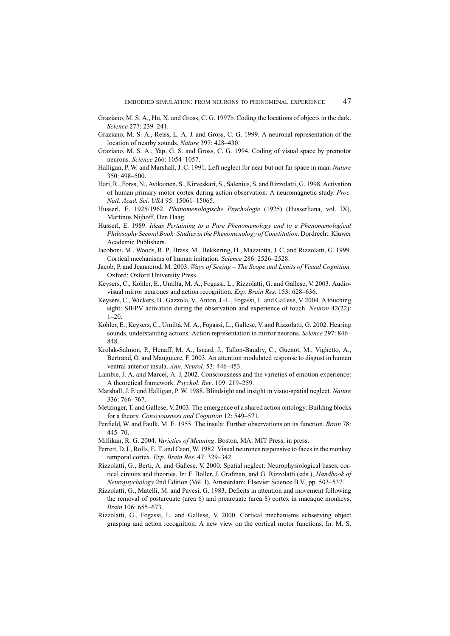- Graziano, M. S. A., Hu, X. and Gross, C. G. 1997b. Coding the locations of objects in the dark. *Science* 277: 239–241.
- Graziano, M. S. A., Reiss, L. A. J. and Gross, C. G. 1999. A neuronal representation of the location of nearby sounds. *Nature* 397: 428–430.
- Graziano, M. S. A., Yap, G. S. and Gross, C. G. 1994. Coding of visual space by premotor neurons. *Science* 266: 1054–1057.
- Halligan, P. W. and Marshall, J. C. 1991. Left neglect for near but not far space in man. *Nature* 350: 498–500.
- Hari, R., Forss, N., Avikainen, S., Kirveskari, S., Salenius, S. and Rizzolatti, G. 1998. Activation of human primary motor cortex during action observation: A neuromagnetic study. *Proc. Natl. Acad. Sci. USA* 95: 15061–15065.
- Husserl, E. 1925/1962. *Phänomenologische Psychologie* (1925) (Husserliana, vol. IX), Martinus Nijhoff, Den Haag.
- Husserl, E. 1989. *Ideas Pertaining to a Pure Phenomenology and to a Phenomenological Philosophy Second Book: Studies in the Phenomenology of Constitution*. Dordrecht: Kluwer Academic Publishers.
- Iacoboni, M., Woods, R. P., Brass, M., Bekkering, H., Mazziotta, J. C. and Rizzolatti, G. 1999. Cortical mechanisms of human imitation. *Science* 286: 2526–2528.
- Jacob, P. and Jeannerod, M. 2003. *Ways of Seeing The Scope and Limits of Visual Cognition.* Oxford: Oxford University Press.
- Keysers, C., Kohler, E., Umiltà, M. A., Fogassi, L., Rizzolatti, G. and Gallese, V. 2003. Audiovisual mirror neurones and action recognition. *Exp. Brain Res*. 153: 628–636.
- Keysers, C., Wickers, B., Gazzola, V., Anton, J.-L., Fogassi, L. and Gallese, V. 2004. A touching sight: SII/PV activation during the observation and experience of touch. *Neuron* 42(22):  $1 - 20.$
- Kohler, E., Keysers, C., Umiltà, M. A., Fogassi, L., Gallese, V. and Rizzolatti, G. 2002. Hearing sounds, understanding actions: Action representation in mirror neurons. *Science* 297: 846– 848.
- Krolak-Salmon, P., Henaff, M. A., Isnard, J., Tallon-Baudry, C., Guenot, M., Vighetto, A., Bertrand, O. and Mauguiere, F. 2003. An attention modulated response to disgust in human ventral anterior insula. *Ann. Neurol.* 53: 446–453.
- Lambie, J. A. and Marcel, A. J. 2002. Consciousness and the varieties of emotion experience: A theoretical framework. *Psychol. Rev*. 109: 219–259.
- Marshall, J. F. and Halligan, P. W. 1988. Blindsight and insight in visuo-spatial neglect. *Nature* 336: 766–767.
- Metzinger, T. and Gallese, V. 2003. The emergence of a shared action ontology: Building blocks for a theory. *Consciousness and Cognition* 12: 549–571.
- Penfield, W. and Faulk, M. E. 1955. The insula: Further observations on its function. *Brain* 78: 445–70.
- Millikan, R. G. 2004. *Varieties of Meaning*. Boston, MA: MIT Press, in press.
- Perrett, D. I., Rolls, E. T. and Caan, W. 1982. Visual neurones responsive to faces in the monkey temporal cortex. *Exp. Brain Res*. 47: 329–342.
- Rizzolatti, G., Berti, A. and Gallese, V. 2000. Spatial neglect: Neurophysiological bases, cortical circuits and theories. In: F. Boller, J. Grafman, and G. Rizzolatti (eds.), *Handbook of Neuropsychology* 2nd Edition (Vol. I), Amsterdam; Elsevier Science B.V., pp. 503–537.
- Rizzolatti, G., Matelli, M. and Pavesi, G. 1983. Deficits in attention and movement following the removal of postarcuate (area 6) and prearcuate (area 8) cortex in macaque monkeys. *Brain* 106: 655–673.
- Rizzolatti, G., Fogassi, L. and Gallese, V. 2000. Cortical mechanisms subserving object grasping and action recognition: A new view on the cortical motor functions. In: M. S.